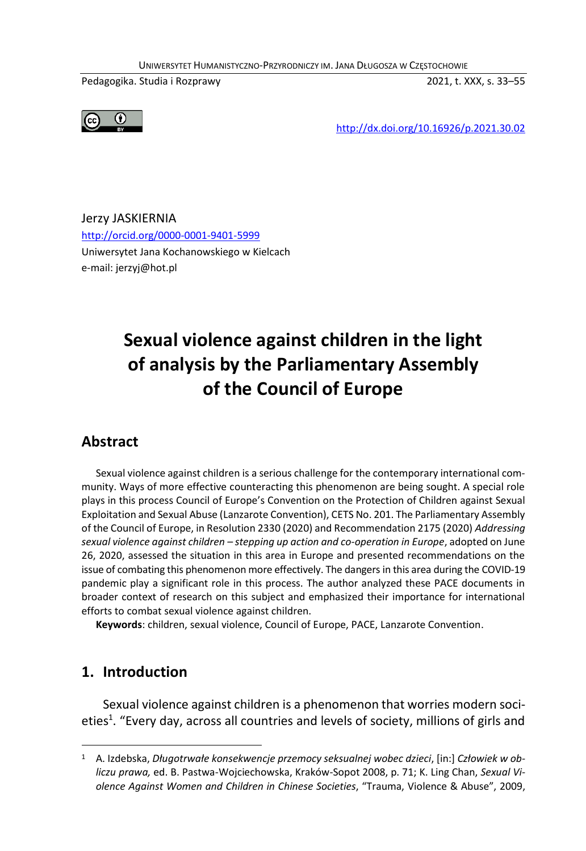UNIWERSYTET HUMANISTYCZNO-PRZYRODNICZY IM. JANA DŁUGOSZA W CZĘSTOCHOWIE

Pedagogika. Studia i Rozprawy 2021, t. XXX, s. 33–55



http://dx.doi.org/10.16926/p.2021.30.02

Jerzy JASKIERNIA http://orcid.org/0000-0001-9401-5999 Uniwersytet Jana Kochanowskiego w Kielcach e-mail: jerzyj@hot.pl

# **Sexual violence against children in the light of analysis by the Parliamentary Assembly of the Council of Europe**

### **Abstract**

Sexual violence against children is a serious challenge for the contemporary international community. Ways of more effective counteracting this phenomenon are being sought. A special role plays in this process Council of Europe's Convention on the Protection of Children against Sexual Exploitation and Sexual Abuse (Lanzarote Convention), CETS No. 201. The Parliamentary Assembly of the Council of Europe, in Resolution 2330 (2020) and Recommendation 2175 (2020) *Addressing sexual violence against children – stepping up action and co-operation in Europe*, adopted on June 26, 2020, assessed the situation in this area in Europe and presented recommendations on the issue of combating this phenomenon more effectively. The dangers in this area during the COVID-19 pandemic play a significant role in this process. The author analyzed these PACE documents in broader context of research on this subject and emphasized their importance for international efforts to combat sexual violence against children.

**Keywords**: children, sexual violence, Council of Europe, PACE, Lanzarote Convention.

### **1. Introduction**

1

Sexual violence against children is a phenomenon that worries modern societies<sup>1</sup>. "Every day, across all countries and levels of society, millions of girls and

<sup>1</sup> A. Izdebska, *Długotrwałe konsekwencje przemocy seksualnej wobec dzieci*, [in:] *Człowiek w obliczu prawa,* ed. B. Pastwa-Wojciechowska, Kraków-Sopot 2008, p. 71; K. Ling Chan, *Sexual Violence Against Women and Children in Chinese Societies*, "Trauma, Violence & Abuse", 2009,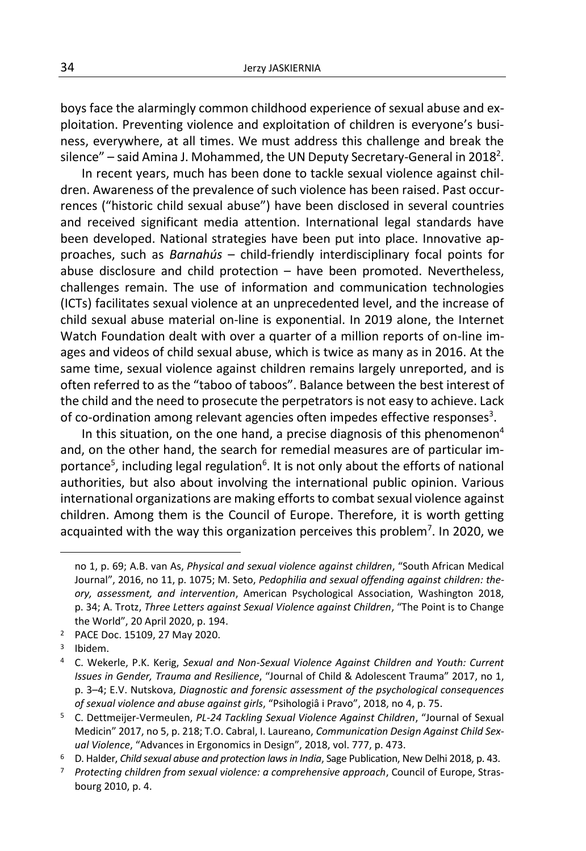boys face the alarmingly common childhood experience of sexual abuse and exploitation. Preventing violence and exploitation of children is everyone's business, everywhere, at all times. We must address this challenge and break the silence" – said Amina J. Mohammed, the UN Deputy Secretary-General in 2018 $^{\text{2}}$ .

In recent years, much has been done to tackle sexual violence against children. Awareness of the prevalence of such violence has been raised. Past occurrences ("historic child sexual abuse") have been disclosed in several countries and received significant media attention. International legal standards have been developed. National strategies have been put into place. Innovative approaches, such as *Barnahús* – child-friendly interdisciplinary focal points for abuse disclosure and child protection – have been promoted. Nevertheless, challenges remain. The use of information and communication technologies (ICTs) facilitates sexual violence at an unprecedented level, and the increase of child sexual abuse material on-line is exponential. In 2019 alone, the Internet Watch Foundation dealt with over a quarter of a million reports of on-line images and videos of child sexual abuse, which is twice as many as in 2016. At the same time, sexual violence against children remains largely unreported, and is often referred to as the "taboo of taboos". Balance between the best interest of the child and the need to prosecute the perpetrators is not easy to achieve. Lack of co-ordination among relevant agencies often impedes effective responses<sup>3</sup>.

In this situation, on the one hand, a precise diagnosis of this phenomenon<sup>4</sup> and, on the other hand, the search for remedial measures are of particular importance<sup>5</sup>, including legal regulation<sup>6</sup>. It is not only about the efforts of national authorities, but also about involving the international public opinion. Various international organizations are making efforts to combat sexual violence against children. Among them is the Council of Europe. Therefore, it is worth getting acquainted with the way this organization perceives this problem<sup>7</sup>. In 2020, we

no 1, p. 69; A.B. van As, *Physical and sexual violence against children*, "South African Medical Journal", 2016, no 11, p. 1075; M. Seto, *Pedophilia and sexual offending against children: theory, assessment, and intervention*, American Psychological Association, Washington 2018, p. 34; A. Trotz, *Three Letters against Sexual Violence against Children*, "The Point is to Change the World", 20 April 2020, p. 194.

<sup>2</sup> PACE Doc. 15109, 27 May 2020.

<sup>3</sup> Ibidem.

<sup>4</sup> C. Wekerle, P.K. Kerig, *Sexual and Non-Sexual Violence Against Children and Youth: Current Issues in Gender, Trauma and Resilience*, "Journal of Child & Adolescent Trauma" 2017, no 1, p. 3–4; E.V. Nutskova, *Diagnostic and forensic assessment of the psychological consequences of sexual violence and abuse against girls*, "Psihologiâ i Pravo", 2018, no 4, p. 75.

<sup>5</sup> C. Dettmeijer-Vermeulen, *PL-24 Tackling Sexual Violence Against Children*, "Journal of Sexual Medicin" 2017, no 5, p. 218; T.O. Cabral, I. Laureano, *Communication Design Against Child Sexual Violence*, "Advances in Ergonomics in Design", 2018, vol. 777, p. 473.

<sup>6</sup> D. Halder, *Child sexual abuse and protection laws in India*, Sage Publication, New Delhi 2018, p. 43.

<sup>7</sup> *Protecting children from sexual violence: a comprehensive approach*, Council of Europe, Strasbourg 2010, p. 4.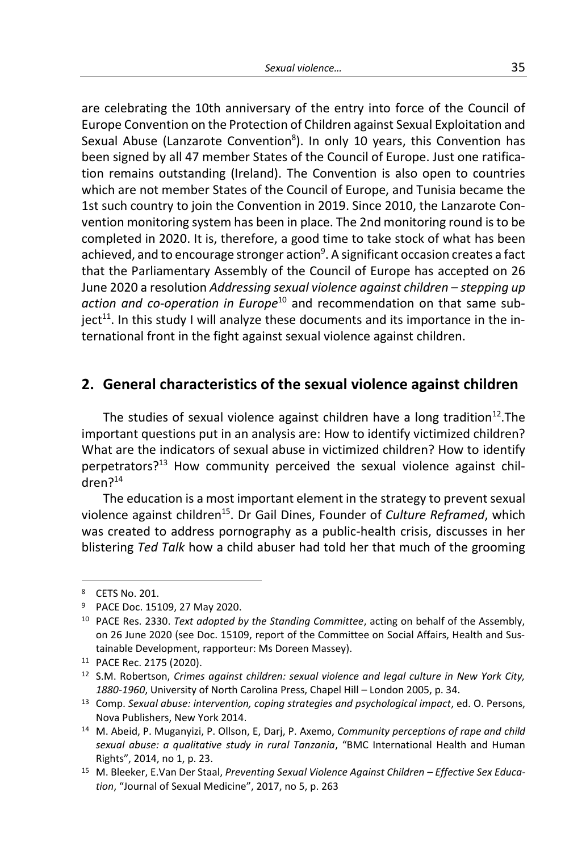are celebrating the 10th anniversary of the entry into force of the Council of Europe Convention on the Protection of Children against Sexual Exploitation and Sexual Abuse (Lanzarote Convention<sup>8</sup>). In only 10 years, this Convention has been signed by all 47 member States of the Council of Europe. Just one ratification remains outstanding (Ireland). The Convention is also open to countries which are not member States of the Council of Europe, and Tunisia became the 1st such country to join the Convention in 2019. Since 2010, the Lanzarote Convention monitoring system has been in place. The 2nd monitoring round is to be completed in 2020. It is, therefore, a good time to take stock of what has been achieved, and to encourage stronger action<sup>9</sup>. A significant occasion creates a fact that the Parliamentary Assembly of the Council of Europe has accepted on 26 June 2020 a resolution *Addressing sexual violence against children – stepping up action and co-operation in Europe*<sup>10</sup> and recommendation on that same subject<sup>11</sup>. In this study I will analyze these documents and its importance in the international front in the fight against sexual violence against children.

#### **2. General characteristics of the sexual violence against children**

The studies of sexual violence against children have a long tradition<sup>12</sup>. The important questions put in an analysis are: How to identify victimized children? What are the indicators of sexual abuse in victimized children? How to identify perpetrators?<sup>13</sup> How community perceived the sexual violence against children?<sup>14</sup>

The education is a most important element in the strategy to prevent sexual violence against children<sup>15</sup>. Dr Gail Dines, Founder of *Culture Reframed*, which was created to address pornography as a public-health crisis, discusses in her blistering *Ted Talk* how a child abuser had told her that much of the grooming

-

<sup>8</sup> CETS No. 201.

<sup>9</sup> PACE Doc. 15109, 27 May 2020.

<sup>10</sup> PACE Res. 2330. *Text adopted by the Standing Committee*, acting on behalf of the Assembly, on 26 June 2020 (see Doc. 15109, report of the Committee on Social Affairs, Health and Sustainable Development, rapporteur: Ms Doreen Massey).

<sup>11</sup> PACE Rec. 2175 (2020).

<sup>12</sup> S.M. Robertson, *Crimes against children: sexual violence and legal culture in New York City, 1880-1960*, University of North Carolina Press, Chapel Hill – London 2005, p. 34.

<sup>13</sup> Comp. *Sexual abuse: intervention, coping strategies and psychological impact*, ed. O. Persons, Nova Publishers, New York 2014.

<sup>14</sup> M. Abeid, P. Muganyizi, P. Ollson, E, Darj, P. Axemo, *Community perceptions of rape and child sexual abuse: a qualitative study in rural Tanzania*, "BMC International Health and Human Rights", 2014, no 1, p. 23.

<sup>15</sup> M. Bleeker, E.Van Der Staal, *Preventing Sexual Violence Against Children – Effective Sex Education*, "Journal of Sexual Medicine", 2017, no 5, p. 263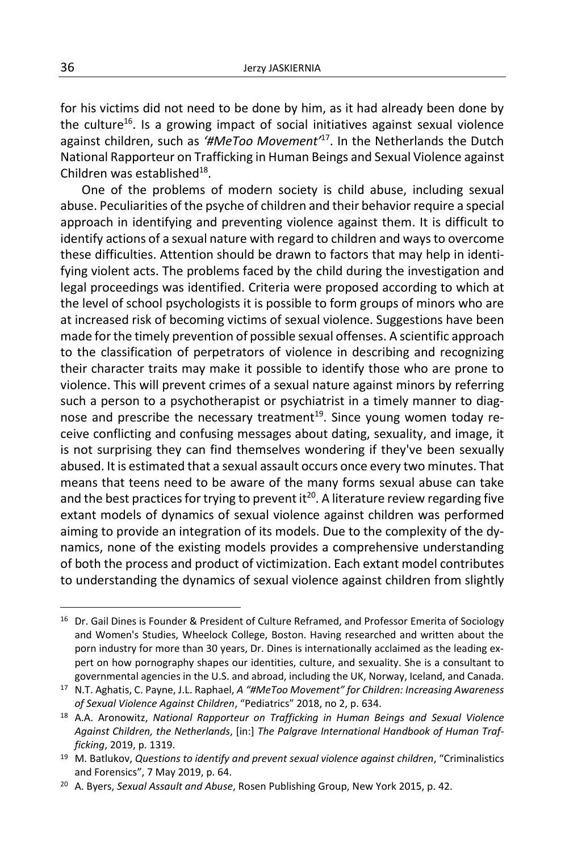for his victims did not need to be done by him, as it had already been done by the culture<sup>16</sup>. Is a growing impact of social initiatives against sexual violence against children, such as *'#MeToo Movement'*<sup>17</sup>. In the Netherlands the Dutch National Rapporteur on Trafficking in Human Beings and Sexual Violence against Children was established<sup>18</sup>.

One of the problems of modern society is child abuse, including sexual abuse. Peculiarities of the psyche of children and their behavior require a special approach in identifying and preventing violence against them. It is difficult to identify actions of a sexual nature with regard to children and ways to overcome these difficulties. Attention should be drawn to factors that may help in identifying violent acts. The problems faced by the child during the investigation and legal proceedings was identified. Criteria were proposed according to which at the level of school psychologists it is possible to form groups of minors who are at increased risk of becoming victims of sexual violence. Suggestions have been made for the timely prevention of possible sexual offenses. A scientific approach to the classification of perpetrators of violence in describing and recognizing their character traits may make it possible to identify those who are prone to violence. This will prevent crimes of a sexual nature against minors by referring such a person to a psychotherapist or psychiatrist in a timely manner to diagnose and prescribe the necessary treatment<sup>19</sup>. Since young women today receive conflicting and confusing messages about dating, sexuality, and image, it is not surprising they can find themselves wondering if they've been sexually abused. It is estimated that a sexual assault occurs once every two minutes. That means that teens need to be aware of the many forms sexual abuse can take and the best practices for trying to prevent it<sup>20</sup>. A literature review regarding five extant models of dynamics of sexual violence against children was performed aiming to provide an integration of its models. Due to the complexity of the dynamics, none of the existing models provides a comprehensive understanding of both the process and product of victimization. Each extant model contributes to understanding the dynamics of sexual violence against children from slightly

<sup>&</sup>lt;sup>16</sup> Dr. Gail Dines is Founder & President of Culture Reframed, and Professor Emerita of Sociology and Women's Studies, Wheelock College, Boston. Having researched and written about the porn industry for more than 30 years, Dr. Dines is internationally acclaimed as the leading expert on how pornography shapes our identities, culture, and sexuality. She is a consultant to governmental agencies in the U.S. and abroad, including the UK, Norway, Iceland, and Canada.

<sup>17</sup> N.T. Aghatis, C. Payne, J.L. Raphael, *A "#MeToo Movement" for Children: Increasing Awareness of Sexual Violence Against Children*, "Pediatrics" 2018, no 2, p. 634.

<sup>18</sup> A.A. Aronowitz, *National Rapporteur on Trafficking in Human Beings and Sexual Violence Against Children, the Netherlands*, [in:] *The Palgrave International Handbook of Human Trafficking*, 2019, p. 1319.

<sup>19</sup> M. Batlukov, *Questions to identify and prevent sexual violence against children*, "Criminalistics and Forensics", 7 May 2019, p. 64.

<sup>20</sup> A. Byers, *Sexual Assault and Abuse*, Rosen Publishing Group, New York 2015, p. 42.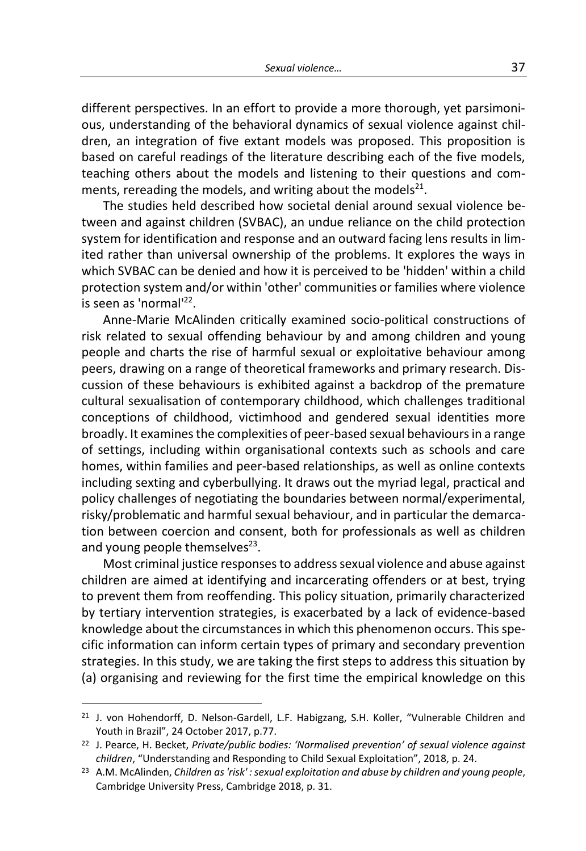different perspectives. In an effort to provide a more thorough, yet parsimonious, understanding of the behavioral dynamics of sexual violence against children, an integration of five extant models was proposed. This proposition is based on careful readings of the literature describing each of the five models, teaching others about the models and listening to their questions and comments, rereading the models, and writing about the models<sup>21</sup>.

The studies held described how societal denial around sexual violence between and against children (SVBAC), an undue reliance on the child protection system for identification and response and an outward facing lens results in limited rather than universal ownership of the problems. It explores the ways in which SVBAC can be denied and how it is perceived to be 'hidden' within a child protection system and/or within 'other' communities or families where violence is seen as 'normal'<sup>22</sup>.

Anne-Marie McAlinden critically examined socio-political constructions of risk related to sexual offending behaviour by and among children and young people and charts the rise of harmful sexual or exploitative behaviour among peers, drawing on a range of theoretical frameworks and primary research. Discussion of these behaviours is exhibited against a backdrop of the premature cultural sexualisation of contemporary childhood, which challenges traditional conceptions of childhood, victimhood and gendered sexual identities more broadly. It examines the complexities of peer-based sexual behaviours in a range of settings, including within organisational contexts such as schools and care homes, within families and peer-based relationships, as well as online contexts including sexting and cyberbullying. It draws out the myriad legal, practical and policy challenges of negotiating the boundaries between normal/experimental, risky/problematic and harmful sexual behaviour, and in particular the demarcation between coercion and consent, both for professionals as well as children and young people themselves<sup>23</sup>.

Most criminal justice responses to address sexual violence and abuse against children are aimed at identifying and incarcerating offenders or at best, trying to prevent them from reoffending. This policy situation, primarily characterized by tertiary intervention strategies, is exacerbated by a lack of evidence-based knowledge about the circumstances in which this phenomenon occurs. This specific information can inform certain types of primary and secondary prevention strategies. In this study, we are taking the first steps to address this situation by (a) organising and reviewing for the first time the empirical knowledge on this

-

<sup>&</sup>lt;sup>21</sup> J. von Hohendorff, D. Nelson-Gardell, L.F. Habigzang, S.H. Koller, "Vulnerable Children and Youth in Brazil", 24 October 2017, p.77.

<sup>22</sup> J. Pearce, H. Becket, *Private/public bodies: 'Normalised prevention' of sexual violence against children*, "Understanding and Responding to Child Sexual Exploitation", 2018, p. 24.

<sup>23</sup> A.M. McAlinden, *Children as 'risk' : sexual exploitation and abuse by children and young people*, Cambridge University Press, Cambridge 2018, p. 31.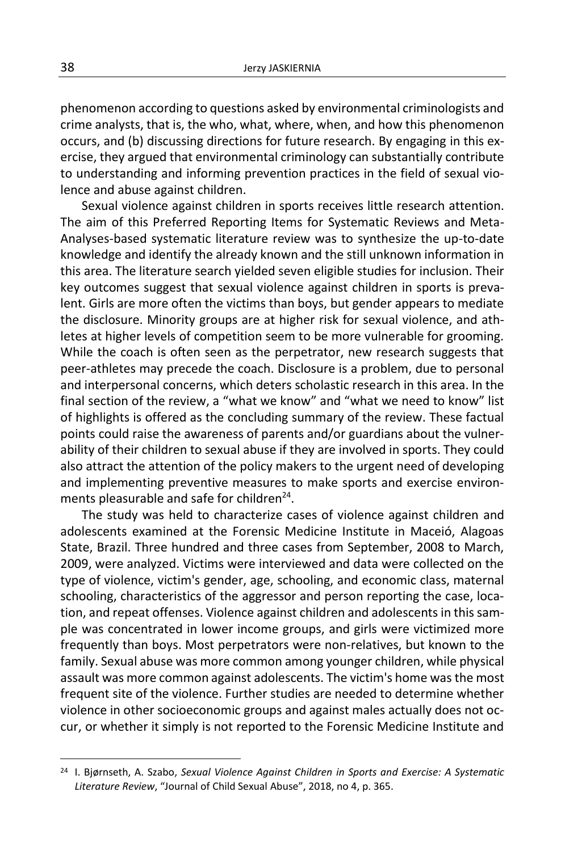phenomenon according to questions asked by environmental criminologists and crime analysts, that is, the who, what, where, when, and how this phenomenon occurs, and (b) discussing directions for future research. By engaging in this exercise, they argued that environmental criminology can substantially contribute to understanding and informing prevention practices in the field of sexual violence and abuse against children.

Sexual violence against children in sports receives little research attention. The aim of this Preferred Reporting Items for Systematic Reviews and Meta-Analyses-based systematic literature review was to synthesize the up-to-date knowledge and identify the already known and the still unknown information in this area. The literature search yielded seven eligible studies for inclusion. Their key outcomes suggest that sexual violence against children in sports is prevalent. Girls are more often the victims than boys, but gender appears to mediate the disclosure. Minority groups are at higher risk for sexual violence, and athletes at higher levels of competition seem to be more vulnerable for grooming. While the coach is often seen as the perpetrator, new research suggests that peer-athletes may precede the coach. Disclosure is a problem, due to personal and interpersonal concerns, which deters scholastic research in this area. In the final section of the review, a "what we know" and "what we need to know" list of highlights is offered as the concluding summary of the review. These factual points could raise the awareness of parents and/or guardians about the vulnerability of their children to sexual abuse if they are involved in sports. They could also attract the attention of the policy makers to the urgent need of developing and implementing preventive measures to make sports and exercise environments pleasurable and safe for children<sup>24</sup>.

The study was held to characterize cases of violence against children and adolescents examined at the Forensic Medicine Institute in Maceió, Alagoas State, Brazil. Three hundred and three cases from September, 2008 to March, 2009, were analyzed. Victims were interviewed and data were collected on the type of violence, victim's gender, age, schooling, and economic class, maternal schooling, characteristics of the aggressor and person reporting the case, location, and repeat offenses. Violence against children and adolescents in this sample was concentrated in lower income groups, and girls were victimized more frequently than boys. Most perpetrators were non-relatives, but known to the family. Sexual abuse was more common among younger children, while physical assault was more common against adolescents. The victim's home was the most frequent site of the violence. Further studies are needed to determine whether violence in other socioeconomic groups and against males actually does not occur, or whether it simply is not reported to the Forensic Medicine Institute and

<sup>24</sup> I. Bjørnseth, A. Szabo, *Sexual Violence Against Children in Sports and Exercise: A Systematic Literature Review*, "Journal of Child Sexual Abuse", 2018, no 4, p. 365.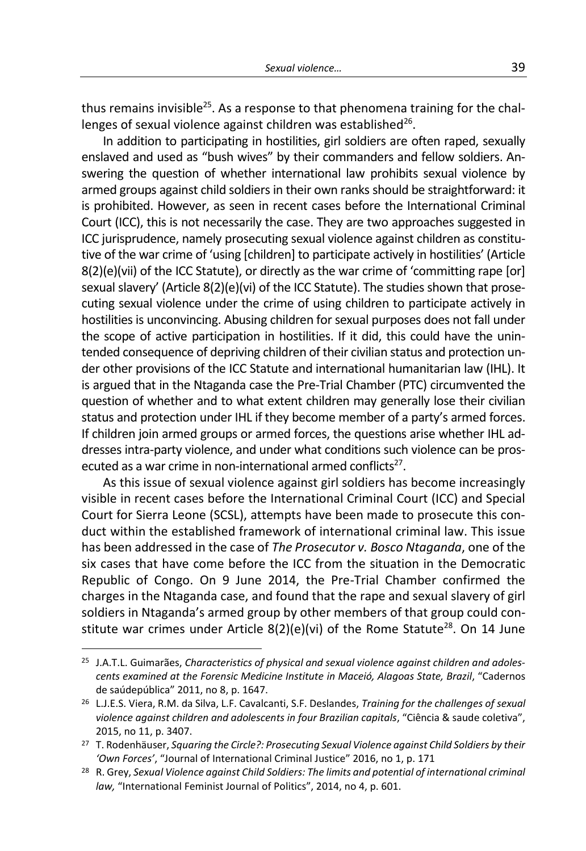thus remains invisible<sup>25</sup>. As a response to that phenomena training for the challenges of sexual violence against children was established $^{26}$ .

In addition to participating in hostilities, girl soldiers are often raped, sexually enslaved and used as "bush wives" by their commanders and fellow soldiers. Answering the question of whether international law prohibits sexual violence by armed groups against child soldiers in their own ranks should be straightforward: it is prohibited. However, as seen in recent cases before the International Criminal Court (ICC), this is not necessarily the case. They are two approaches suggested in ICC jurisprudence, namely prosecuting sexual violence against children as constitutive of the war crime of 'using [children] to participate actively in hostilities' (Article 8(2)(e)(vii) of the ICC Statute), or directly as the war crime of 'committing rape [or] sexual slavery' (Article 8(2)(e)(vi) of the ICC Statute). The studies shown that prosecuting sexual violence under the crime of using children to participate actively in hostilities is unconvincing. Abusing children for sexual purposes does not fall under the scope of active participation in hostilities. If it did, this could have the unintended consequence of depriving children of their civilian status and protection under other provisions of the ICC Statute and international humanitarian law (IHL). It is argued that in the Ntaganda case the Pre-Trial Chamber (PTC) circumvented the question of whether and to what extent children may generally lose their civilian status and protection under IHL if they become member of a party's armed forces. If children join armed groups or armed forces, the questions arise whether IHL addresses intra-party violence, and under what conditions such violence can be prosecuted as a war crime in non-international armed conflicts<sup>27</sup>.

As this issue of sexual violence against girl soldiers has become increasingly visible in recent cases before the International Criminal Court (ICC) and Special Court for Sierra Leone (SCSL), attempts have been made to prosecute this conduct within the established framework of international criminal law. This issue has been addressed in the case of *The Prosecutor v. Bosco Ntaganda*, one of the six cases that have come before the ICC from the situation in the Democratic Republic of Congo. On 9 June 2014, the Pre-Trial Chamber confirmed the charges in the Ntaganda case, and found that the rape and sexual slavery of girl soldiers in Ntaganda's armed group by other members of that group could constitute war crimes under Article  $8(2)(e)(vi)$  of the Rome Statute<sup>28</sup>. On 14 June

<sup>25</sup> J.A.T.L. Guimarães, *Characteristics of physical and sexual violence against children and adolescents examined at the Forensic Medicine Institute in Maceió, Alagoas State, Brazil*, "Cadernos de saúdepública" 2011, no 8, p. 1647.

<sup>26</sup> L.J.E.S. Viera, R.M. da Silva, L.F. Cavalcanti, S.F. Deslandes, *Training for the challenges of sexual violence against children and adolescents in four Brazilian capitals*, "Ciência & saude coletiva", 2015, no 11, p. 3407.

<sup>27</sup> T. Rodenhäuser, *Squaring the Circle?: Prosecuting Sexual Violence against Child Soldiers by their 'Own Forces'*, "Journal of International Criminal Justice" 2016, no 1, p. 171

<sup>28</sup> R. Grey, *Sexual Violence against Child Soldiers: The limits and potential of international criminal law,* "International Feminist Journal of Politics", 2014, no 4, p. 601.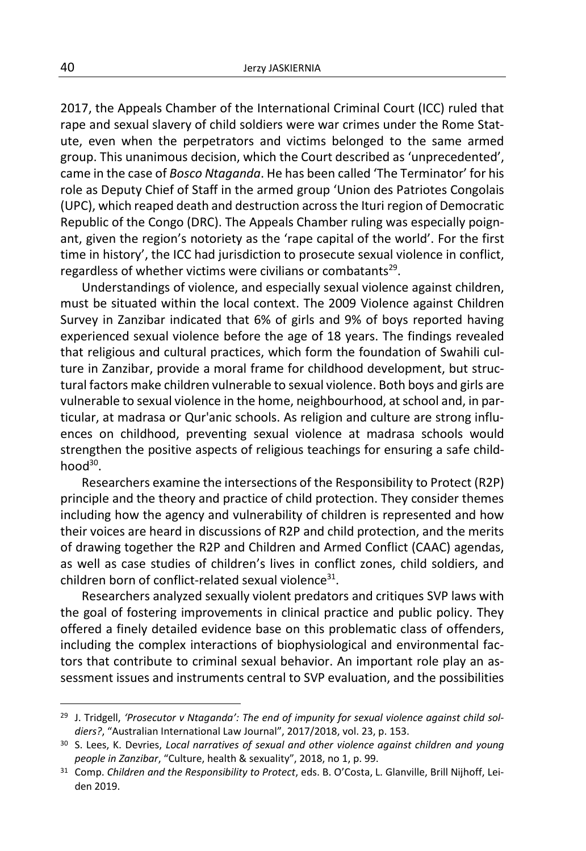2017, the Appeals Chamber of the International Criminal Court (ICC) ruled that rape and sexual slavery of child soldiers were war crimes under the Rome Statute, even when the perpetrators and victims belonged to the same armed group. This unanimous decision, which the Court described as 'unprecedented', came in the case of *Bosco Ntaganda*. He has been called 'The Terminator' for his role as Deputy Chief of Staff in the armed group 'Union des Patriotes Congolais (UPC), which reaped death and destruction across the Ituri region of Democratic Republic of the Congo (DRC). The Appeals Chamber ruling was especially poignant, given the region's notoriety as the 'rape capital of the world'. For the first time in history', the ICC had jurisdiction to prosecute sexual violence in conflict, regardless of whether victims were civilians or combatants<sup>29</sup>.

Understandings of violence, and especially sexual violence against children, must be situated within the local context. The 2009 Violence against Children Survey in Zanzibar indicated that 6% of girls and 9% of boys reported having experienced sexual violence before the age of 18 years. The findings revealed that religious and cultural practices, which form the foundation of Swahili culture in Zanzibar, provide a moral frame for childhood development, but structural factors make children vulnerable to sexual violence. Both boys and girls are vulnerable to sexual violence in the home, neighbourhood, at school and, in particular, at madrasa or Qur'anic schools. As religion and culture are strong influences on childhood, preventing sexual violence at madrasa schools would strengthen the positive aspects of religious teachings for ensuring a safe child $h$ ood $30$ .

Researchers examine the intersections of the Responsibility to Protect (R2P) principle and the theory and practice of child protection. They consider themes including how the agency and vulnerability of children is represented and how their voices are heard in discussions of R2P and child protection, and the merits of drawing together the R2P and Children and Armed Conflict (CAAC) agendas, as well as case studies of children's lives in conflict zones, child soldiers, and children born of conflict-related sexual violence<sup>31</sup>.

Researchers analyzed sexually violent predators and critiques SVP laws with the goal of fostering improvements in clinical practice and public policy. They offered a finely detailed evidence base on this problematic class of offenders, including the complex interactions of biophysiological and environmental factors that contribute to criminal sexual behavior. An important role play an assessment issues and instruments central to SVP evaluation, and the possibilities

<sup>29</sup> J. Tridgell, *'Prosecutor v Ntaganda': The end of impunity for sexual violence against child soldiers?*, "Australian International Law Journal", 2017/2018, vol. 23, p. 153.

<sup>30</sup> S. Lees, K. Devries, *Local narratives of sexual and other violence against children and young people in Zanzibar*, "Culture, health & sexuality", 2018, no 1, p. 99.

<sup>31</sup> Comp. *Children and the Responsibility to Protect*, eds. B. O'Costa, L. Glanville, Brill Nijhoff, Leiden 2019.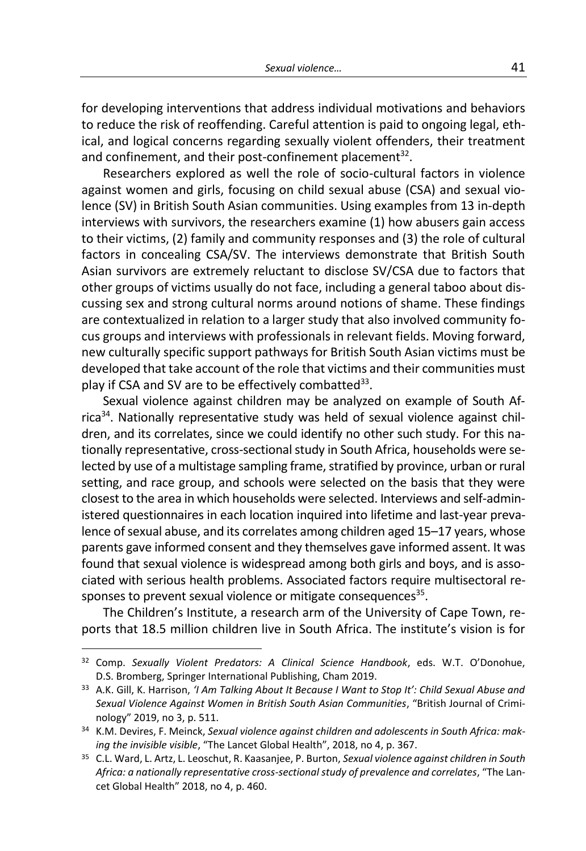for developing interventions that address individual motivations and behaviors to reduce the risk of reoffending. Careful attention is paid to ongoing legal, ethical, and logical concerns regarding sexually violent offenders, their treatment and confinement, and their post-confinement placement<sup>32</sup>.

Researchers explored as well the role of socio-cultural factors in violence against women and girls, focusing on child sexual abuse (CSA) and sexual violence (SV) in British South Asian communities. Using examples from 13 in-depth interviews with survivors, the researchers examine (1) how abusers gain access to their victims, (2) family and community responses and (3) the role of cultural factors in concealing CSA/SV. The interviews demonstrate that British South Asian survivors are extremely reluctant to disclose SV/CSA due to factors that other groups of victims usually do not face, including a general taboo about discussing sex and strong cultural norms around notions of shame. These findings are contextualized in relation to a larger study that also involved community focus groups and interviews with professionals in relevant fields. Moving forward, new culturally specific support pathways for British South Asian victims must be developed that take account of the role that victims and their communities must play if CSA and SV are to be effectively combatted<sup>33</sup>.

Sexual violence against children may be analyzed on example of South Af $r_{\text{I}}$  rica<sup>34</sup>. Nationally representative study was held of sexual violence against children, and its correlates, since we could identify no other such study. For this nationally representative, cross-sectional study in South Africa, households were selected by use of a multistage sampling frame, stratified by province, urban or rural setting, and race group, and schools were selected on the basis that they were closest to the area in which households were selected. Interviews and self-administered questionnaires in each location inquired into lifetime and last-year prevalence of sexual abuse, and its correlates among children aged 15–17 years, whose parents gave informed consent and they themselves gave informed assent. It was found that sexual violence is widespread among both girls and boys, and is associated with serious health problems. Associated factors require multisectoral responses to prevent sexual violence or mitigate consequences<sup>35</sup>.

The Children's Institute, a research arm of the University of Cape Town, reports that 18.5 million children live in South Africa. The institute's vision is for

<sup>32</sup> Comp. *Sexually Violent Predators: A Clinical Science Handbook*, eds. W.T. O'Donohue, D.S. Bromberg, Springer International Publishing, Cham 2019.

<sup>33</sup> A.K. Gill, K. Harrison, *'I Am Talking About It Because I Want to Stop It': Child Sexual Abuse and Sexual Violence Against Women in British South Asian Communities*, "British Journal of Criminology" 2019, no 3, p. 511.

<sup>34</sup> K.M. Devires, F. Meinck, *Sexual violence against children and adolescents in South Africa: making the invisible visible*, "The Lancet Global Health", 2018, no 4, p. 367.

<sup>35</sup> C.L. Ward, L. Artz, L. Leoschut, R. Kaasanjee, P. Burton, *Sexual violence against children in South Africa: a nationally representative cross-sectional study of prevalence and correlates*, "The Lancet Global Health" 2018, no 4, p. 460.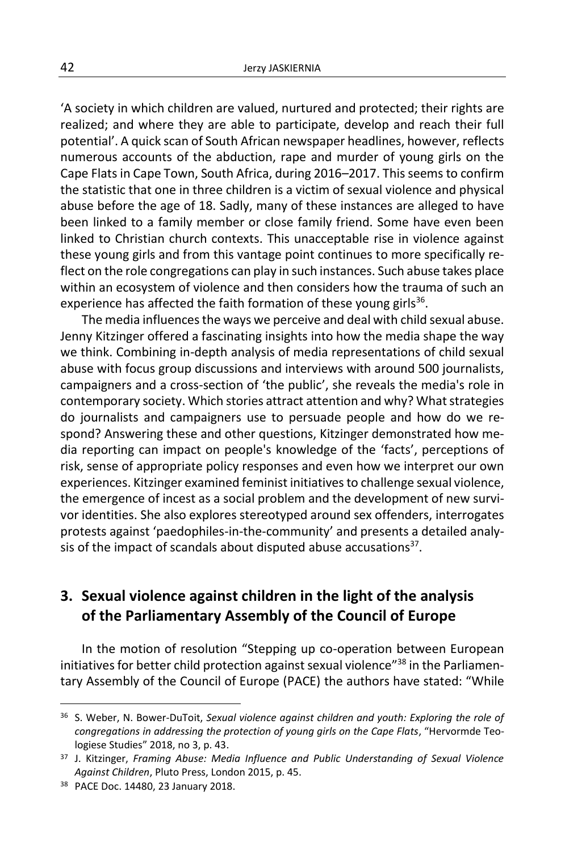'A society in which children are valued, nurtured and protected; their rights are realized; and where they are able to participate, develop and reach their full potential'. A quick scan of South African newspaper headlines, however, reflects numerous accounts of the abduction, rape and murder of young girls on the Cape Flats in Cape Town, South Africa, during 2016–2017. This seems to confirm the statistic that one in three children is a victim of sexual violence and physical abuse before the age of 18. Sadly, many of these instances are alleged to have been linked to a family member or close family friend. Some have even been linked to Christian church contexts. This unacceptable rise in violence against these young girls and from this vantage point continues to more specifically reflect on the role congregations can play in such instances. Such abuse takes place within an ecosystem of violence and then considers how the trauma of such an experience has affected the faith formation of these young girls $^{36}$ .

The media influences the ways we perceive and deal with child sexual abuse. Jenny Kitzinger offered a fascinating insights into how the media shape the way we think. Combining in-depth analysis of media representations of child sexual abuse with focus group discussions and interviews with around 500 journalists, campaigners and a cross-section of 'the public', she reveals the media's role in contemporary society. Which stories attract attention and why? What strategies do journalists and campaigners use to persuade people and how do we respond? Answering these and other questions, Kitzinger demonstrated how media reporting can impact on people's knowledge of the 'facts', perceptions of risk, sense of appropriate policy responses and even how we interpret our own experiences. Kitzinger examined feminist initiatives to challenge sexual violence, the emergence of incest as a social problem and the development of new survivor identities. She also explores stereotyped around sex offenders, interrogates protests against 'paedophiles-in-the-community' and presents a detailed analysis of the impact of scandals about disputed abuse accusations $^{37}$ .

## **3. Sexual violence against children in the light of the analysis of the Parliamentary Assembly of the Council of Europe**

In the motion of resolution "Stepping up co-operation between European initiatives for better child protection against sexual violence"<sup>38</sup> in the Parliamentary Assembly of the Council of Europe (PACE) the authors have stated: "While

<sup>36</sup> S. Weber, N. Bower-DuToit, *Sexual violence against children and youth: Exploring the role of congregations in addressing the protection of young girls on the Cape Flats*, "Hervormde Teologiese Studies" 2018, no 3, p. 43.

<sup>37</sup> J. Kitzinger, *Framing Abuse: Media Influence and Public Understanding of Sexual Violence Against Children*, Pluto Press, London 2015, p. 45.

<sup>38</sup> PACE Doc. 14480, 23 January 2018.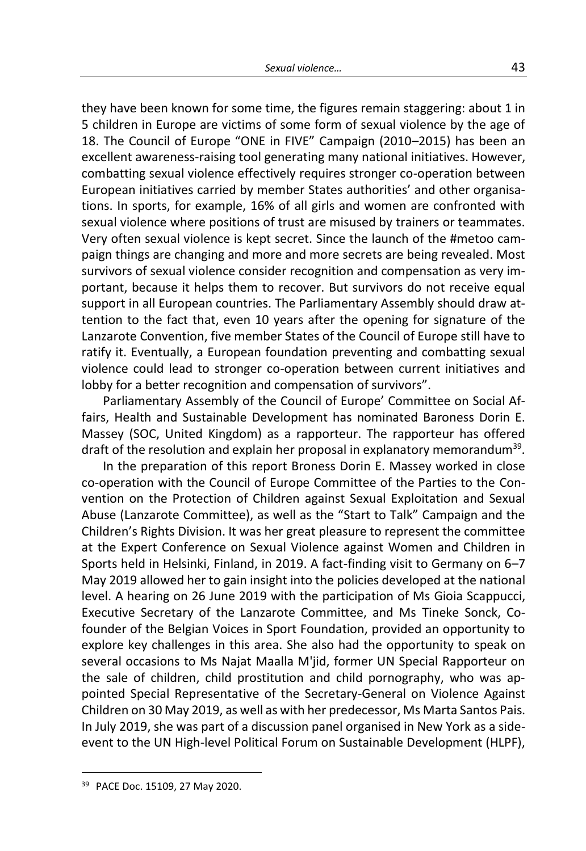they have been known for some time, the figures remain staggering: about 1 in 5 children in Europe are victims of some form of sexual violence by the age of 18. The Council of Europe "ONE in FIVE" Campaign (2010–2015) has been an excellent awareness-raising tool generating many national initiatives. However, combatting sexual violence effectively requires stronger co-operation between European initiatives carried by member States authorities' and other organisations. In sports, for example, 16% of all girls and women are confronted with sexual violence where positions of trust are misused by trainers or teammates. Very often sexual violence is kept secret. Since the launch of the #metoo campaign things are changing and more and more secrets are being revealed. Most survivors of sexual violence consider recognition and compensation as very important, because it helps them to recover. But survivors do not receive equal support in all European countries. The Parliamentary Assembly should draw attention to the fact that, even 10 years after the opening for signature of the Lanzarote Convention, five member States of the Council of Europe still have to ratify it. Eventually, a European foundation preventing and combatting sexual violence could lead to stronger co-operation between current initiatives and lobby for a better recognition and compensation of survivors".

Parliamentary Assembly of the Council of Europe' Committee on Social Affairs, Health and Sustainable Development has nominated Baroness Dorin E. Massey (SOC, United Kingdom) as a rapporteur. The rapporteur has offered draft of the resolution and explain her proposal in explanatory memorandum<sup>39</sup>.

In the preparation of this report Broness Dorin E. Massey worked in close co-operation with the Council of Europe Committee of the Parties to the Convention on the Protection of Children against Sexual Exploitation and Sexual Abuse (Lanzarote Committee), as well as the "Start to Talk" Campaign and the Children's Rights Division. It was her great pleasure to represent the committee at the Expert Conference on Sexual Violence against Women and Children in Sports held in Helsinki, Finland, in 2019. A fact-finding visit to Germany on 6–7 May 2019 allowed her to gain insight into the policies developed at the national level. A hearing on 26 June 2019 with the participation of Ms Gioia Scappucci, Executive Secretary of the Lanzarote Committee, and Ms Tineke Sonck, Cofounder of the Belgian Voices in Sport Foundation, provided an opportunity to explore key challenges in this area. She also had the opportunity to speak on several occasions to Ms Najat Maalla M'jid, former UN Special Rapporteur on the sale of children, child prostitution and child pornography, who was appointed Special Representative of the Secretary-General on Violence Against Children on 30 May 2019, as well as with her predecessor, Ms Marta Santos Pais. In July 2019, she was part of a discussion panel organised in New York as a sideevent to the UN High-level Political Forum on Sustainable Development (HLPF),

<sup>39</sup> PACE Doc. 15109, 27 May 2020.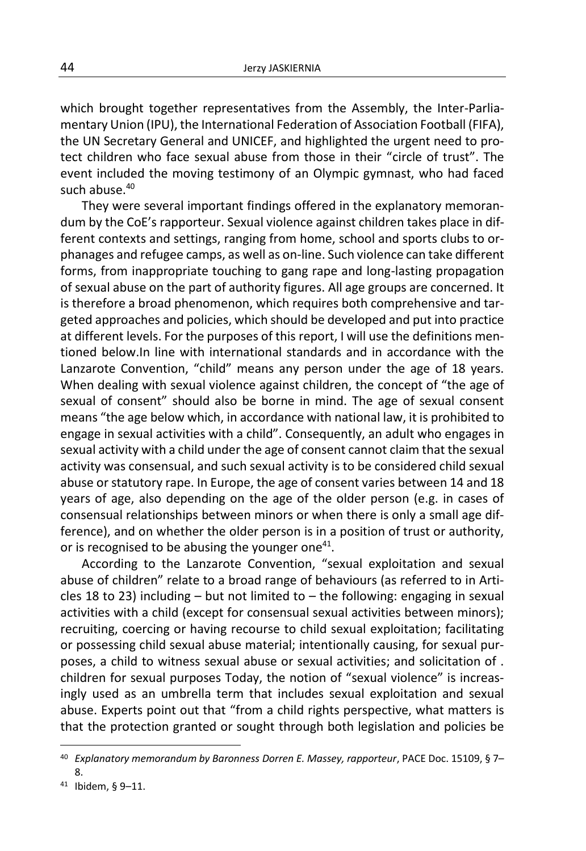which brought together representatives from the Assembly, the Inter-Parliamentary Union (IPU), the International Federation of Association Football (FIFA), the UN Secretary General and UNICEF, and highlighted the urgent need to protect children who face sexual abuse from those in their "circle of trust". The event included the moving testimony of an Olympic gymnast, who had faced such abuse.<sup>40</sup>

They were several important findings offered in the explanatory memorandum by the CoE's rapporteur. Sexual violence against children takes place in different contexts and settings, ranging from home, school and sports clubs to orphanages and refugee camps, as well as on-line. Such violence can take different forms, from inappropriate touching to gang rape and long-lasting propagation of sexual abuse on the part of authority figures. All age groups are concerned. It is therefore a broad phenomenon, which requires both comprehensive and targeted approaches and policies, which should be developed and put into practice at different levels. For the purposes of this report, I will use the definitions mentioned below.In line with international standards and in accordance with the Lanzarote Convention, "child" means any person under the age of 18 years. When dealing with sexual violence against children, the concept of "the age of sexual of consent" should also be borne in mind. The age of sexual consent means "the age below which, in accordance with national law, it is prohibited to engage in sexual activities with a child". Consequently, an adult who engages in sexual activity with a child under the age of consent cannot claim that the sexual activity was consensual, and such sexual activity is to be considered child sexual abuse or statutory rape. In Europe, the age of consent varies between 14 and 18 years of age, also depending on the age of the older person (e.g. in cases of consensual relationships between minors or when there is only a small age difference), and on whether the older person is in a position of trust or authority, or is recognised to be abusing the younger one<sup>41</sup>.

According to the Lanzarote Convention, "sexual exploitation and sexual abuse of children" relate to a broad range of behaviours (as referred to in Articles 18 to 23) including  $-$  but not limited to  $-$  the following: engaging in sexual activities with a child (except for consensual sexual activities between minors); recruiting, coercing or having recourse to child sexual exploitation; facilitating or possessing child sexual abuse material; intentionally causing, for sexual purposes, a child to witness sexual abuse or sexual activities; and solicitation of . children for sexual purposes Today, the notion of "sexual violence" is increasingly used as an umbrella term that includes sexual exploitation and sexual abuse. Experts point out that "from a child rights perspective, what matters is that the protection granted or sought through both legislation and policies be

<sup>40</sup> *Explanatory memorandum by Baronness Dorren E. Massey, rapporteur*, PACE Doc. 15109, § 7– 8.

<sup>41</sup> Ibidem, § 9–11.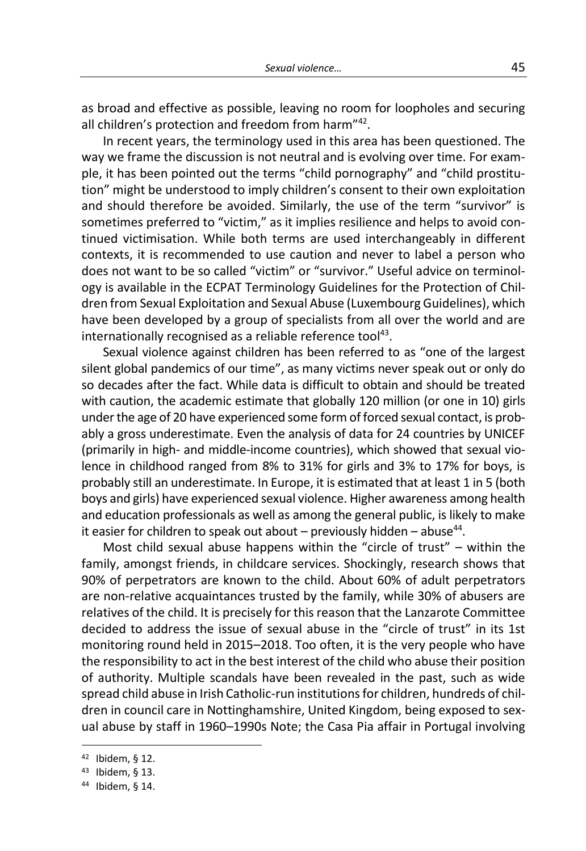as broad and effective as possible, leaving no room for loopholes and securing all children's protection and freedom from harm"<sup>42</sup>.

In recent years, the terminology used in this area has been questioned. The way we frame the discussion is not neutral and is evolving over time. For example, it has been pointed out the terms "child pornography" and "child prostitution" might be understood to imply children's consent to their own exploitation and should therefore be avoided. Similarly, the use of the term "survivor" is sometimes preferred to "victim," as it implies resilience and helps to avoid continued victimisation. While both terms are used interchangeably in different contexts, it is recommended to use caution and never to label a person who does not want to be so called "victim" or "survivor." Useful advice on terminology is available in the ECPAT Terminology Guidelines for the Protection of Children from Sexual Exploitation and Sexual Abuse (Luxembourg Guidelines), which have been developed by a group of specialists from all over the world and are internationally recognised as a reliable reference tool<sup>43</sup>.

Sexual violence against children has been referred to as "one of the largest silent global pandemics of our time", as many victims never speak out or only do so decades after the fact. While data is difficult to obtain and should be treated with caution, the academic estimate that globally 120 million (or one in 10) girls under the age of 20 have experienced some form of forced sexual contact, is probably a gross underestimate. Even the analysis of data for 24 countries by UNICEF (primarily in high- and middle-income countries), which showed that sexual violence in childhood ranged from 8% to 31% for girls and 3% to 17% for boys, is probably still an underestimate. In Europe, it is estimated that at least 1 in 5 (both boys and girls) have experienced sexual violence. Higher awareness among health and education professionals as well as among the general public, is likely to make it easier for children to speak out about  $-$  previously hidden  $-$  abuse<sup>44</sup>.

Most child sexual abuse happens within the "circle of trust" – within the family, amongst friends, in childcare services. Shockingly, research shows that 90% of perpetrators are known to the child. About 60% of adult perpetrators are non-relative acquaintances trusted by the family, while 30% of abusers are relatives of the child. It is precisely for this reason that the Lanzarote Committee decided to address the issue of sexual abuse in the "circle of trust" in its 1st monitoring round held in 2015–2018. Too often, it is the very people who have the responsibility to act in the best interest of the child who abuse their position of authority. Multiple scandals have been revealed in the past, such as wide spread child abuse in Irish Catholic-run institutions for children, hundreds of children in council care in Nottinghamshire, United Kingdom, being exposed to sexual abuse by staff in 1960–1990s Note; the Casa Pia affair in Portugal involving

 $42$  Ibidem, § 12.

<sup>43</sup> Ibidem, § 13.

<sup>44</sup> Ibidem, § 14.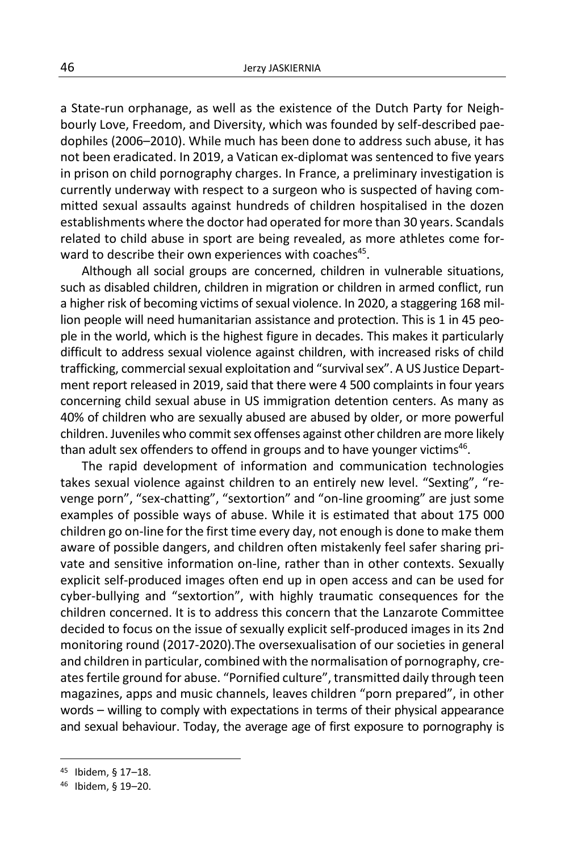a State-run orphanage, as well as the existence of the Dutch Party for Neighbourly Love, Freedom, and Diversity, which was founded by self-described paedophiles (2006–2010). While much has been done to address such abuse, it has not been eradicated. In 2019, a Vatican ex-diplomat was sentenced to five years in prison on child pornography charges. In France, a preliminary investigation is currently underway with respect to a surgeon who is suspected of having committed sexual assaults against hundreds of children hospitalised in the dozen establishments where the doctor had operated for more than 30 years. Scandals related to child abuse in sport are being revealed, as more athletes come forward to describe their own experiences with coaches<sup>45</sup>.

Although all social groups are concerned, children in vulnerable situations, such as disabled children, children in migration or children in armed conflict, run a higher risk of becoming victims of sexual violence. In 2020, a staggering 168 million people will need humanitarian assistance and protection. This is 1 in 45 people in the world, which is the highest figure in decades. This makes it particularly difficult to address sexual violence against children, with increased risks of child trafficking, commercial sexual exploitation and "survival sex". A US Justice Department report released in 2019, said that there were 4 500 complaints in four years concerning child sexual abuse in US immigration detention centers. As many as 40% of children who are sexually abused are abused by older, or more powerful children. Juveniles who commit sex offenses against other children are more likely than adult sex offenders to offend in groups and to have younger victims<sup>46</sup>.

The rapid development of information and communication technologies takes sexual violence against children to an entirely new level. "Sexting", "revenge porn", "sex-chatting", "sextortion" and "on-line grooming" are just some examples of possible ways of abuse. While it is estimated that about 175 000 children go on-line for the first time every day, not enough is done to make them aware of possible dangers, and children often mistakenly feel safer sharing private and sensitive information on-line, rather than in other contexts. Sexually explicit self-produced images often end up in open access and can be used for cyber-bullying and "sextortion", with highly traumatic consequences for the children concerned. It is to address this concern that the Lanzarote Committee decided to focus on the issue of sexually explicit self-produced images in its 2nd monitoring round (2017-2020).The oversexualisation of our societies in general and children in particular, combined with the normalisation of pornography, creates fertile ground for abuse. "Pornified culture", transmitted daily through teen magazines, apps and music channels, leaves children "porn prepared", in other words – willing to comply with expectations in terms of their physical appearance and sexual behaviour. Today, the average age of first exposure to pornography is

<sup>45</sup> Ibidem, § 17–18.

<sup>46</sup> Ibidem, § 19–20.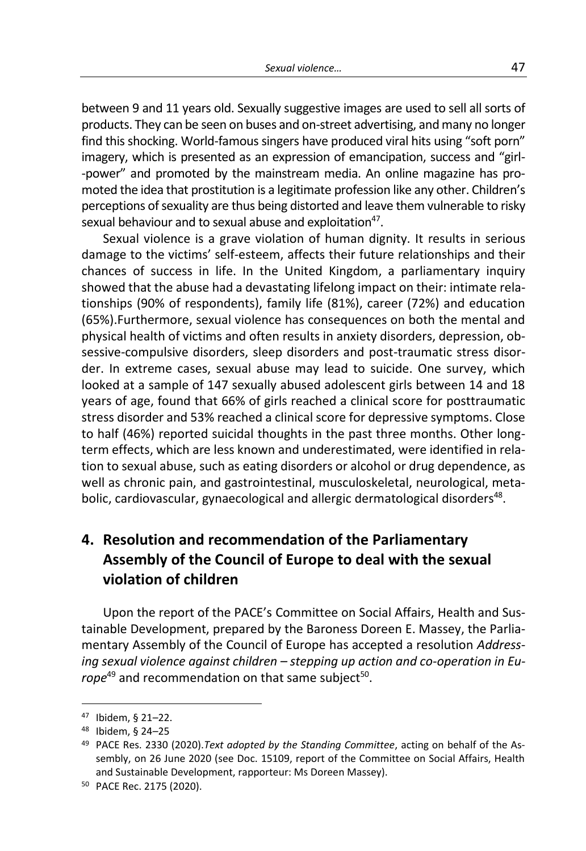between 9 and 11 years old. Sexually suggestive images are used to sell all sorts of products. They can be seen on buses and on-street advertising, and many no longer find this shocking. World-famous singers have produced viral hits using "soft porn" imagery, which is presented as an expression of emancipation, success and "girl- -power" and promoted by the mainstream media. An online magazine has promoted the idea that prostitution is a legitimate profession like any other. Children's perceptions of sexuality are thus being distorted and leave them vulnerable to risky sexual behaviour and to sexual abuse and exploitation<sup>47</sup>.

Sexual violence is a grave violation of human dignity. It results in serious damage to the victims' self-esteem, affects their future relationships and their chances of success in life. In the United Kingdom, a parliamentary inquiry showed that the abuse had a devastating lifelong impact on their: intimate relationships (90% of respondents), family life (81%), career (72%) and education (65%).Furthermore, sexual violence has consequences on both the mental and physical health of victims and often results in anxiety disorders, depression, obsessive-compulsive disorders, sleep disorders and post-traumatic stress disorder. In extreme cases, sexual abuse may lead to suicide. One survey, which looked at a sample of 147 sexually abused adolescent girls between 14 and 18 years of age, found that 66% of girls reached a clinical score for posttraumatic stress disorder and 53% reached a clinical score for depressive symptoms. Close to half (46%) reported suicidal thoughts in the past three months. Other longterm effects, which are less known and underestimated, were identified in relation to sexual abuse, such as eating disorders or alcohol or drug dependence, as well as chronic pain, and gastrointestinal, musculoskeletal, neurological, metabolic, cardiovascular, gynaecological and allergic dermatological disorders<sup>48</sup>.

# **4. Resolution and recommendation of the Parliamentary Assembly of the Council of Europe to deal with the sexual violation of children**

Upon the report of the PACE's Committee on Social Affairs, Health and Sustainable Development, prepared by the Baroness Doreen E. Massey, the Parliamentary Assembly of the Council of Europe has accepted a resolution *Addressing sexual violence against children – stepping up action and co-operation in Eu*rope<sup>49</sup> and recommendation on that same subject<sup>50</sup>.

-

<sup>47</sup> Ibidem, § 21–22.

<sup>48</sup> Ibidem, § 24–25

<sup>49</sup> PACE Res. 2330 (2020).*Text adopted by the Standing Committee*, acting on behalf of the Assembly, on 26 June 2020 (see Doc. 15109, report of the Committee on Social Affairs, Health and Sustainable Development, rapporteur: Ms Doreen Massey).

<sup>50</sup> PACE Rec. 2175 (2020).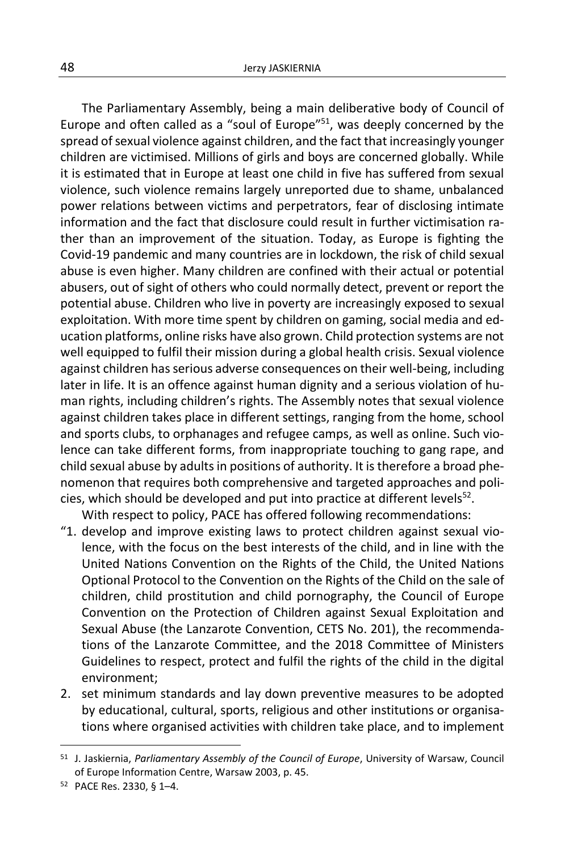The Parliamentary Assembly, being a main deliberative body of Council of Europe and often called as a "soul of Europe"<sup>51</sup>, was deeply concerned by the spread of sexual violence against children, and the fact that increasingly younger children are victimised. Millions of girls and boys are concerned globally. While it is estimated that in Europe at least one child in five has suffered from sexual violence, such violence remains largely unreported due to shame, unbalanced power relations between victims and perpetrators, fear of disclosing intimate information and the fact that disclosure could result in further victimisation rather than an improvement of the situation. Today, as Europe is fighting the Covid-19 pandemic and many countries are in lockdown, the risk of child sexual abuse is even higher. Many children are confined with their actual or potential abusers, out of sight of others who could normally detect, prevent or report the potential abuse. Children who live in poverty are increasingly exposed to sexual exploitation. With more time spent by children on gaming, social media and education platforms, online risks have also grown. Child protection systems are not well equipped to fulfil their mission during a global health crisis. Sexual violence against children has serious adverse consequences on their well-being, including later in life. It is an offence against human dignity and a serious violation of human rights, including children's rights. The Assembly notes that sexual violence against children takes place in different settings, ranging from the home, school and sports clubs, to orphanages and refugee camps, as well as online. Such violence can take different forms, from inappropriate touching to gang rape, and child sexual abuse by adults in positions of authority. It is therefore a broad phenomenon that requires both comprehensive and targeted approaches and policies, which should be developed and put into practice at different levels<sup>52</sup>.

With respect to policy, PACE has offered following recommendations:

- "1. develop and improve existing laws to protect children against sexual violence, with the focus on the best interests of the child, and in line with the United Nations Convention on the Rights of the Child, the United Nations Optional Protocol to the Convention on the Rights of the Child on the sale of children, child prostitution and child pornography, the Council of Europe Convention on the Protection of Children against Sexual Exploitation and Sexual Abuse (the Lanzarote Convention, CETS No. 201), the recommendations of the Lanzarote Committee, and the 2018 Committee of Ministers Guidelines to respect, protect and fulfil the rights of the child in the digital environment;
- 2. set minimum standards and lay down preventive measures to be adopted by educational, cultural, sports, religious and other institutions or organisations where organised activities with children take place, and to implement

<sup>51</sup> J. Jaskiernia, *Parliamentary Assembly of the Council of Europe*, University of Warsaw, Council of Europe Information Centre, Warsaw 2003, p. 45.

<sup>52</sup> PACE Res. 2330, § 1–4.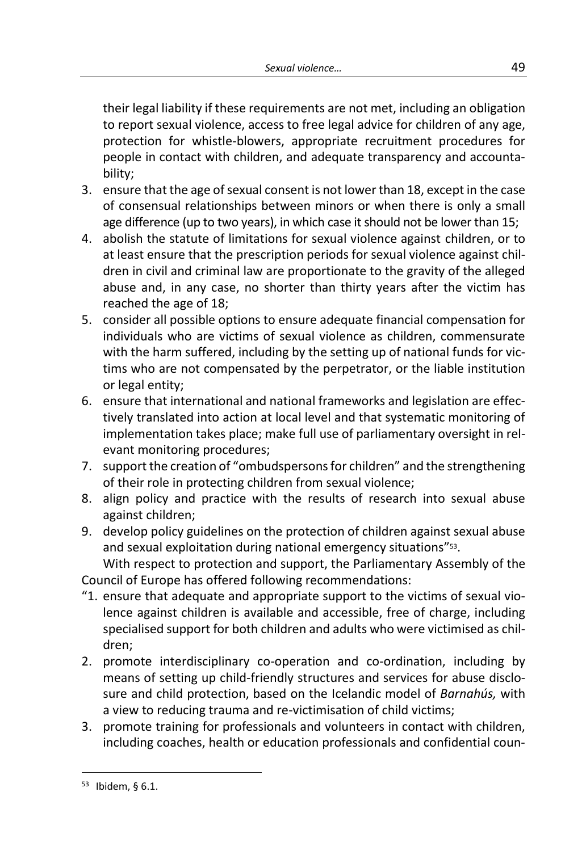their legal liability if these requirements are not met, including an obligation to report sexual violence, access to free legal advice for children of any age, protection for whistle-blowers, appropriate recruitment procedures for people in contact with children, and adequate transparency and accountability;

- 3. ensure that the age of sexual consent is not lower than 18, except in the case of consensual relationships between minors or when there is only a small age difference (up to two years), in which case it should not be lower than 15;
- 4. abolish the statute of limitations for sexual violence against children, or to at least ensure that the prescription periods for sexual violence against children in civil and criminal law are proportionate to the gravity of the alleged abuse and, in any case, no shorter than thirty years after the victim has reached the age of 18;
- 5. consider all possible options to ensure adequate financial compensation for individuals who are victims of sexual violence as children, commensurate with the harm suffered, including by the setting up of national funds for victims who are not compensated by the perpetrator, or the liable institution or legal entity;
- 6. ensure that international and national frameworks and legislation are effectively translated into action at local level and that systematic monitoring of implementation takes place; make full use of parliamentary oversight in relevant monitoring procedures;
- 7. support the creation of "ombudspersons for children" and the strengthening of their role in protecting children from sexual violence;
- 8. align policy and practice with the results of research into sexual abuse against children;
- 9. develop policy guidelines on the protection of children against sexual abuse and sexual exploitation during national emergency situations" 53 .

With respect to protection and support, the Parliamentary Assembly of the Council of Europe has offered following recommendations:

- "1. ensure that adequate and appropriate support to the victims of sexual violence against children is available and accessible, free of charge, including specialised support for both children and adults who were victimised as children;
- 2. promote interdisciplinary co-operation and co-ordination, including by means of setting up child-friendly structures and services for abuse disclosure and child protection, based on the Icelandic model of *Barnahús,* with a view to reducing trauma and re-victimisation of child victims;
- 3. promote training for professionals and volunteers in contact with children, including coaches, health or education professionals and confidential coun-

<sup>53</sup> Ibidem, § 6.1.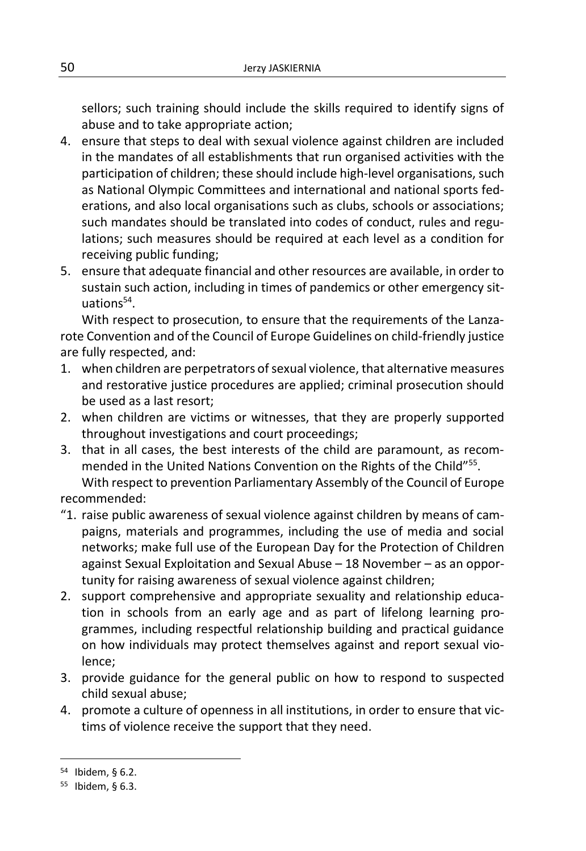sellors; such training should include the skills required to identify signs of abuse and to take appropriate action;

- 4. ensure that steps to deal with sexual violence against children are included in the mandates of all establishments that run organised activities with the participation of children; these should include high-level organisations, such as National Olympic Committees and international and national sports federations, and also local organisations such as clubs, schools or associations; such mandates should be translated into codes of conduct, rules and regulations; such measures should be required at each level as a condition for receiving public funding;
- 5. ensure that adequate financial and other resources are available, in order to sustain such action, including in times of pandemics or other emergency situations<sup>54</sup>.

With respect to prosecution, to ensure that the requirements of the Lanzarote Convention and of the Council of Europe Guidelines on child-friendly justice are fully respected, and:

- 1. when children are perpetrators of sexual violence, that alternative measures and restorative justice procedures are applied; criminal prosecution should be used as a last resort;
- 2. when children are victims or witnesses, that they are properly supported throughout investigations and court proceedings;
- 3. that in all cases, the best interests of the child are paramount, as recommended in the United Nations Convention on the Rights of the Child"<sup>55</sup>. With respect to prevention Parliamentary Assembly of the Council of Europe

recommended:

- "1. raise public awareness of sexual violence against children by means of campaigns, materials and programmes, including the use of media and social networks; make full use of the European Day for the Protection of Children against Sexual Exploitation and Sexual Abuse – 18 November – as an opportunity for raising awareness of sexual violence against children;
- 2. support comprehensive and appropriate sexuality and relationship education in schools from an early age and as part of lifelong learning programmes, including respectful relationship building and practical guidance on how individuals may protect themselves against and report sexual violence;
- 3. provide guidance for the general public on how to respond to suspected child sexual abuse;
- 4. promote a culture of openness in all institutions, in order to ensure that victims of violence receive the support that they need.

<sup>54</sup> Ibidem, § 6.2.

<sup>55</sup> Ibidem, § 6.3.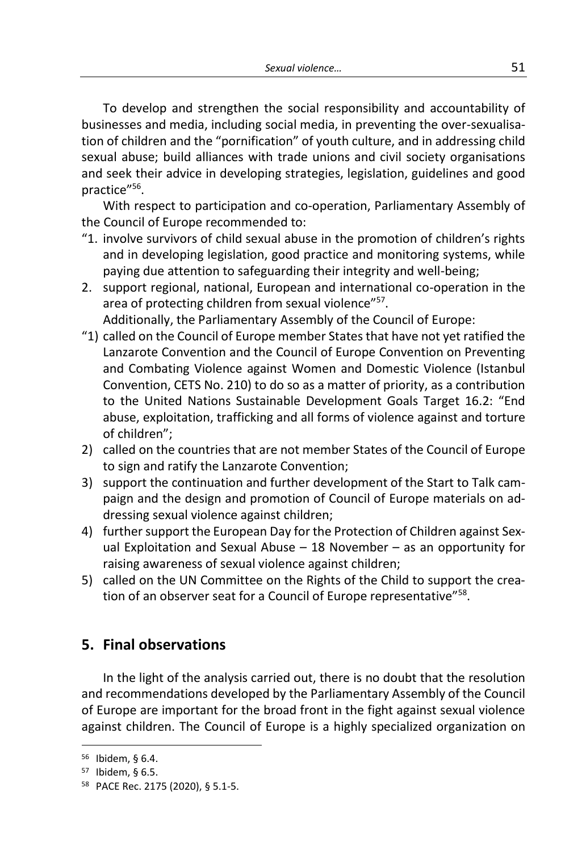To develop and strengthen the social responsibility and accountability of businesses and media, including social media, in preventing the over-sexualisation of children and the "pornification" of youth culture, and in addressing child sexual abuse; build alliances with trade unions and civil society organisations and seek their advice in developing strategies, legislation, guidelines and good practice"<sup>56</sup>.

With respect to participation and co-operation, Parliamentary Assembly of the Council of Europe recommended to:

- "1. involve survivors of child sexual abuse in the promotion of children's rights and in developing legislation, good practice and monitoring systems, while paying due attention to safeguarding their integrity and well-being;
- 2. support regional, national, European and international co-operation in the area of protecting children from sexual violence"<sup>57</sup>. Additionally, the Parliamentary Assembly of the Council of Europe:
- "1) called on the Council of Europe member States that have not yet ratified the Lanzarote Convention and the Council of Europe Convention on Preventing and Combating Violence against Women and Domestic Violence (Istanbul Convention, CETS No. 210) to do so as a matter of priority, as a contribution to the United Nations Sustainable Development Goals Target 16.2: "End abuse, exploitation, trafficking and all forms of violence against and torture of children";
- 2) called on the countries that are not member States of the Council of Europe to sign and ratify the Lanzarote Convention;
- 3) support the continuation and further development of the Start to Talk campaign and the design and promotion of Council of Europe materials on addressing sexual violence against children;
- 4) further support the European Day for the Protection of Children against Sexual Exploitation and Sexual Abuse  $-18$  November  $-$  as an opportunity for raising awareness of sexual violence against children;
- 5) called on the UN Committee on the Rights of the Child to support the creation of an observer seat for a Council of Europe representative"<sup>58</sup>.

# **5. Final observations**

In the light of the analysis carried out, there is no doubt that the resolution and recommendations developed by the Parliamentary Assembly of the Council of Europe are important for the broad front in the fight against sexual violence against children. The Council of Europe is a highly specialized organization on

<sup>56</sup> Ibidem, § 6.4.

<sup>57</sup> Ibidem, § 6.5.

<sup>58</sup> PACE Rec. 2175 (2020), § 5.1-5.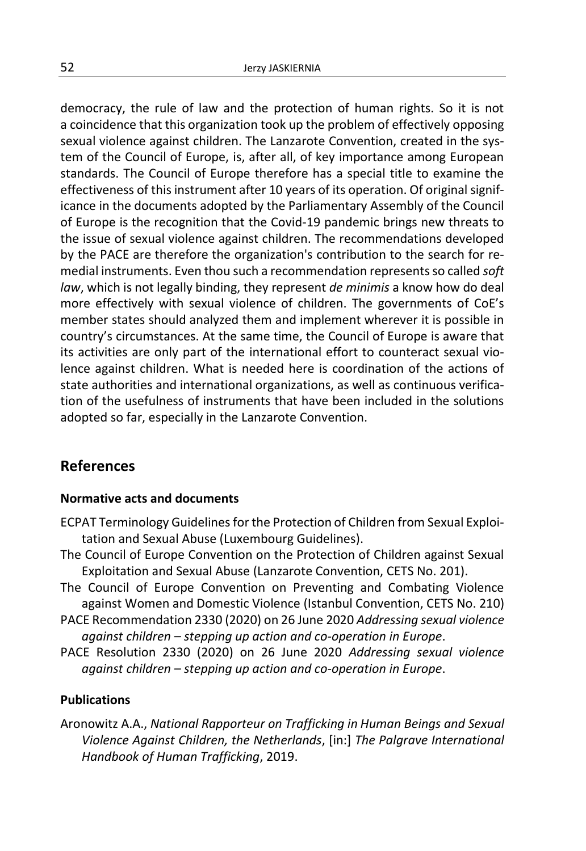democracy, the rule of law and the protection of human rights. So it is not a coincidence that this organization took up the problem of effectively opposing sexual violence against children. The Lanzarote Convention, created in the system of the Council of Europe, is, after all, of key importance among European standards. The Council of Europe therefore has a special title to examine the effectiveness of this instrument after 10 years of its operation. Of original significance in the documents adopted by the Parliamentary Assembly of the Council of Europe is the recognition that the Covid-19 pandemic brings new threats to the issue of sexual violence against children. The recommendations developed by the PACE are therefore the organization's contribution to the search for remedial instruments. Even thou such a recommendation represents so called *soft law*, which is not legally binding, they represent *de minimis* a know how do deal more effectively with sexual violence of children. The governments of CoE's member states should analyzed them and implement wherever it is possible in country's circumstances. At the same time, the Council of Europe is aware that its activities are only part of the international effort to counteract sexual violence against children. What is needed here is coordination of the actions of state authorities and international organizations, as well as continuous verification of the usefulness of instruments that have been included in the solutions adopted so far, especially in the Lanzarote Convention.

### **References**

#### **Normative acts and documents**

- ECPAT Terminology Guidelines for the Protection of Children from Sexual Exploitation and Sexual Abuse (Luxembourg Guidelines).
- The Council of Europe Convention on the Protection of Children against Sexual Exploitation and Sexual Abuse (Lanzarote Convention, CETS No. 201).
- The Council of Europe Convention on Preventing and Combating Violence against Women and Domestic Violence (Istanbul Convention, CETS No. 210)
- PACE Recommendation 2330 (2020) on 26 June 2020 *Addressing sexual violence against children – stepping up action and co-operation in Europe*.
- PACE Resolution 2330 (2020) on 26 June 2020 *Addressing sexual violence against children – stepping up action and co-operation in Europe*.

#### **Publications**

Aronowitz A.A., *National Rapporteur on Trafficking in Human Beings and Sexual Violence Against Children, the Netherlands*, [in:] *The Palgrave International Handbook of Human Trafficking*, 2019.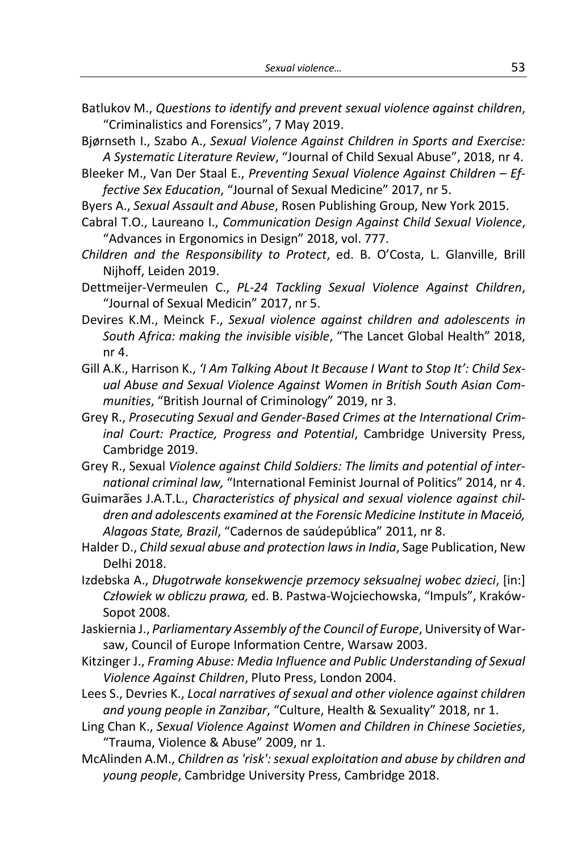Batlukov M., *Questions to identify and prevent sexual violence against children*, "Criminalistics and Forensics", 7 May 2019.

Bjørnseth I., Szabo A., *Sexual Violence Against Children in Sports and Exercise: A Systematic Literature Review*, "Journal of Child Sexual Abuse", 2018, nr 4.

- Bleeker M., Van Der Staal E., *Preventing Sexual Violence Against Children – Effective Sex Education*, "Journal of Sexual Medicine" 2017, nr 5.
- Byers A., *Sexual Assault and Abuse*, Rosen Publishing Group, New York 2015.
- Cabral T.O., Laureano I., *Communication Design Against Child Sexual Violence*, "Advances in Ergonomics in Design" 2018, vol. 777.
- *Children and the Responsibility to Protect*, ed. B. O'Costa, L. Glanville, Brill Nijhoff, Leiden 2019.
- Dettmeijer-Vermeulen C., *PL-24 Tackling Sexual Violence Against Children*, "Journal of Sexual Medicin" 2017, nr 5.
- Devires K.M., Meinck F., *Sexual violence against children and adolescents in South Africa: making the invisible visible*, "The Lancet Global Health" 2018, nr 4.
- Gill A.K., Harrison K., *'I Am Talking About It Because I Want to Stop It': Child Sexual Abuse and Sexual Violence Against Women in British South Asian Communities*, "British Journal of Criminology" 2019, nr 3.
- Grey R., *Prosecuting Sexual and Gender-Based Crimes at the International Criminal Court: Practice, Progress and Potential*, Cambridge University Press, Cambridge 2019.
- Grey R., Sexual *Violence against Child Soldiers: The limits and potential of international criminal law,* "International Feminist Journal of Politics" 2014, nr 4.
- Guimarães J.A.T.L., *Characteristics of physical and sexual violence against children and adolescents examined at the Forensic Medicine Institute in Maceió, Alagoas State, Brazil*, "Cadernos de saúdepública" 2011, nr 8.
- Halder D., *Child sexual abuse and protection laws in India*, Sage Publication, New Delhi 2018.
- Izdebska A., *Długotrwałe konsekwencje przemocy seksualnej wobec dzieci*, [in:] *Człowiek w obliczu prawa,* ed. B. Pastwa-Wojciechowska, "Impuls", Kraków-Sopot 2008.
- Jaskiernia J., *Parliamentary Assembly of the Council of Europe*, University of Warsaw, Council of Europe Information Centre, Warsaw 2003.
- Kitzinger J., *Framing Abuse: Media Influence and Public Understanding of Sexual Violence Against Children*, Pluto Press, London 2004.
- Lees S., Devries K., *Local narratives of sexual and other violence against children and young people in Zanzibar*, "Culture, Health & Sexuality" 2018, nr 1.
- Ling Chan K., *Sexual Violence Against Women and Children in Chinese Societies*, "Trauma, Violence & Abuse" 2009, nr 1.
- McAlinden A.M., *Children as 'risk':sexual exploitation and abuse by children and young people*, Cambridge University Press, Cambridge 2018.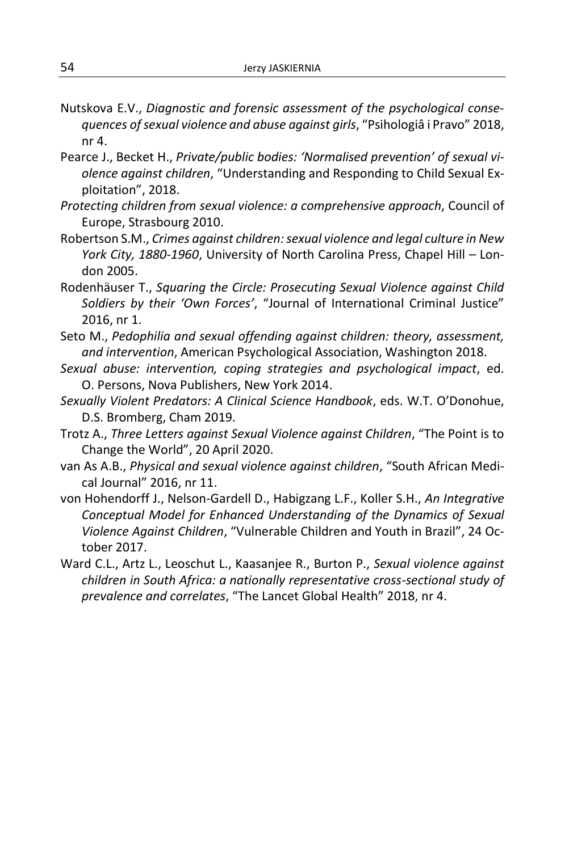- Nutskova E.V., *Diagnostic and forensic assessment of the psychological consequences ofsexual violence and abuse against girls*, "Psihologiâ i Pravo" 2018, nr 4.
- Pearce J., Becket H., *Private/public bodies: 'Normalised prevention' of sexual violence against children*, "Understanding and Responding to Child Sexual Exploitation", 2018.
- *Protecting children from sexual violence: a comprehensive approach*, Council of Europe, Strasbourg 2010.
- Robertson S.M., *Crimes against children: sexual violence and legal culture in New York City, 1880-1960*, University of North Carolina Press, Chapel Hill – London 2005.
- Rodenhäuser T., *Squaring the Circle: Prosecuting Sexual Violence against Child Soldiers by their 'Own Forces'*, "Journal of International Criminal Justice" 2016, nr 1.
- Seto M., *Pedophilia and sexual offending against children: theory, assessment, and intervention*, American Psychological Association, Washington 2018.
- *Sexual abuse: intervention, coping strategies and psychological impact*, ed. O. Persons, Nova Publishers, New York 2014.
- *Sexually Violent Predators: A Clinical Science Handbook*, eds. W.T. O'Donohue, D.S. Bromberg, Cham 2019.
- Trotz A., *Three Letters against Sexual Violence against Children*, "The Point is to Change the World", 20 April 2020.
- van As A.B., *Physical and sexual violence against children*, "South African Medical Journal" 2016, nr 11.
- von Hohendorff J., Nelson-Gardell D., Habigzang L.F., Koller S.H., *An Integrative Conceptual Model for Enhanced Understanding of the Dynamics of Sexual Violence Against Children*, "Vulnerable Children and Youth in Brazil", 24 October 2017.
- Ward C.L., Artz L., Leoschut L., Kaasanjee R., Burton P., *Sexual violence against children in South Africa: a nationally representative cross-sectional study of prevalence and correlates*, "The Lancet Global Health" 2018, nr 4.